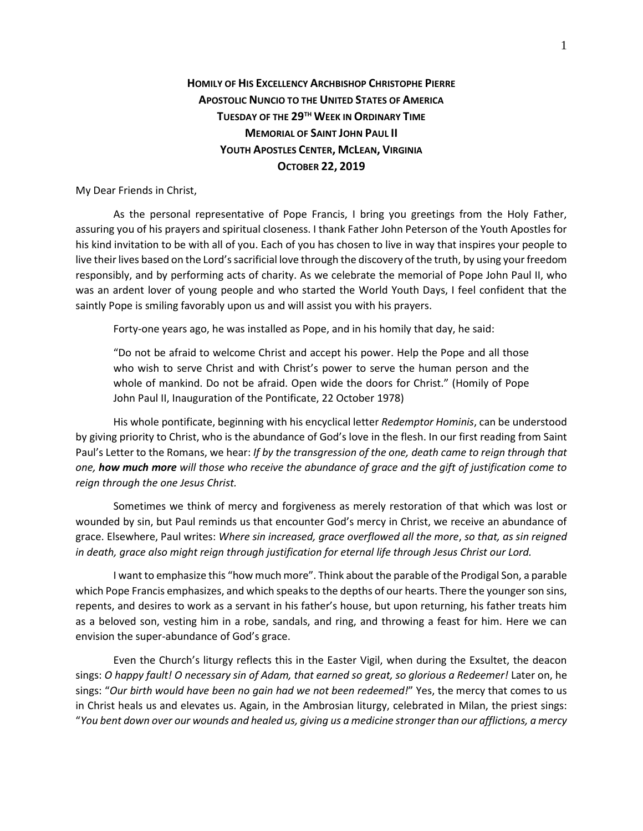## **HOMILY OF HIS EXCELLENCY ARCHBISHOP CHRISTOPHE PIERRE APOSTOLIC NUNCIO TO THE UNITED STATES OF AMERICA TUESDAY OF THE 29TH WEEK IN ORDINARY TIME MEMORIAL OF SAINT JOHN PAUL II YOUTH APOSTLES CENTER, MCLEAN, VIRGINIA OCTOBER 22, 2019**

My Dear Friends in Christ,

As the personal representative of Pope Francis, I bring you greetings from the Holy Father, assuring you of his prayers and spiritual closeness. I thank Father John Peterson of the Youth Apostles for his kind invitation to be with all of you. Each of you has chosen to live in way that inspires your people to live their lives based on the Lord's sacrificial love through the discovery of the truth, by using your freedom responsibly, and by performing acts of charity. As we celebrate the memorial of Pope John Paul II, who was an ardent lover of young people and who started the World Youth Days, I feel confident that the saintly Pope is smiling favorably upon us and will assist you with his prayers.

Forty-one years ago, he was installed as Pope, and in his homily that day, he said:

"Do not be afraid to welcome Christ and accept his power. Help the Pope and all those who wish to serve Christ and with Christ's power to serve the human person and the whole of mankind. Do not be afraid. Open wide the doors for Christ." (Homily of Pope John Paul II, Inauguration of the Pontificate, 22 October 1978)

His whole pontificate, beginning with his encyclical letter *Redemptor Hominis*, can be understood by giving priority to Christ, who is the abundance of God's love in the flesh. In our first reading from Saint Paul's Letter to the Romans, we hear: *If by the transgression of the one, death came to reign through that one, how much more will those who receive the abundance of grace and the gift of justification come to reign through the one Jesus Christ.*

Sometimes we think of mercy and forgiveness as merely restoration of that which was lost or wounded by sin, but Paul reminds us that encounter God's mercy in Christ, we receive an abundance of grace. Elsewhere, Paul writes: *Where sin increased, grace overflowed all the more*, *so that, as sin reigned in death, grace also might reign through justification for eternal life through Jesus Christ our Lord.*

I want to emphasize this "how much more". Think about the parable of the Prodigal Son, a parable which Pope Francis emphasizes, and which speaks to the depths of our hearts. There the younger son sins, repents, and desires to work as a servant in his father's house, but upon returning, his father treats him as a beloved son, vesting him in a robe, sandals, and ring, and throwing a feast for him. Here we can envision the super-abundance of God's grace.

Even the Church's liturgy reflects this in the Easter Vigil, when during the Exsultet, the deacon sings: *O happy fault! O necessary sin of Adam, that earned so great, so glorious a Redeemer!* Later on, he sings: "*Our birth would have been no gain had we not been redeemed!*" Yes, the mercy that comes to us in Christ heals us and elevates us. Again, in the Ambrosian liturgy, celebrated in Milan, the priest sings: "*You bent down over our wounds and healed us, giving us a medicine stronger than our afflictions, a mercy*